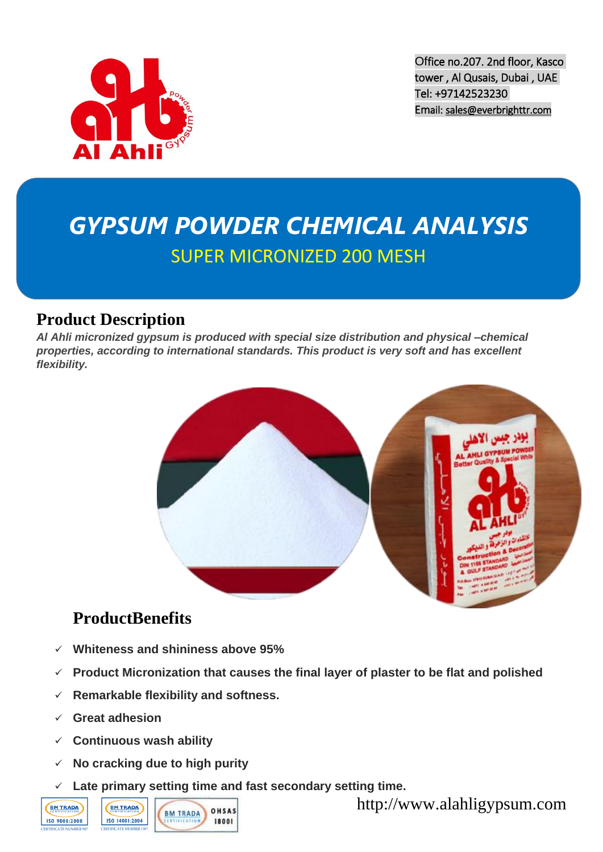

Office no.207. 2nd floor, Kasco tower , Al Qusais, Dubai , UAE Tel: +97142523230 Email: [sales@everbrighttr.com](http://www.everbrighttr.com/en/contact/sales@everbrighttr.com) 

# *GYPSUM POWDER CHEMICAL ANALYSIS* SUPER MICRONIZED 200 MESH

#### **Product Description**

*Al Ahli micronized gypsum is produced with special size distribution and physical –chemical properties, according to international standards. This product is very soft and has excellent flexibility.*



#### **ProductBenefits**

- **Whiteness and shininess above 95%**
- **Product Micronization that causes the final layer of plaster to be flat and polished**
- **Remarkable flexibility and softness.**
- **Great adhesion**
- **Continuous wash ability**
- **No cracking due to high purity**
- **Late primary setting time and fast secondary setting time.**





http://www.alahligypsum.com